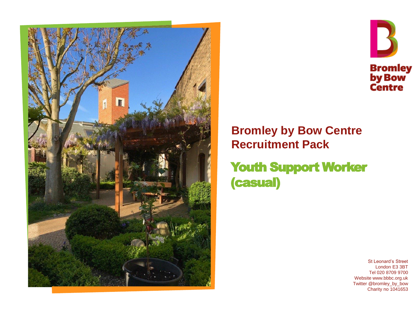



### **Bromley by Bow Centre Recruitment Pack**

Youth Support Worker (casual)

> St Leonard's Street London E3 3BT Tel 020 8709 9700 Website www.bbbc.org.uk Twitter @bromley\_by\_bow Charity no 1041653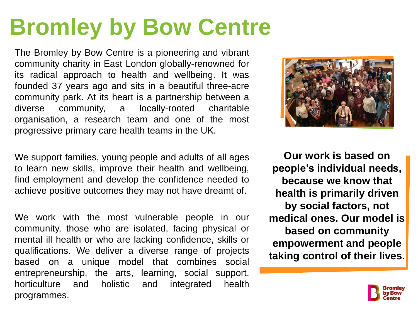# **Bromley by Bow Centre**

The Bromley by Bow Centre is a pioneering and vibrant community charity in East London globally-renowned for its radical approach to health and wellbeing. It was founded 37 years ago and sits in a beautiful three-acre community park. At its heart is a partnership between a diverse community, a locally-rooted charitable organisation, a research team and one of the most progressive primary care health teams in the UK.

We support families, young people and adults of all ages to learn new skills, improve their health and wellbeing, find employment and develop the confidence needed to achieve positive outcomes they may not have dreamt of.

We work with the most vulnerable people in our community, those who are isolated, facing physical or mental ill health or who are lacking confidence, skills or qualifications. We deliver a diverse range of projects based on a unique model that combines social entrepreneurship, the arts, learning, social support, horticulture and holistic and integrated health programmes.



**Our work is based on people's individual needs, because we know that health is primarily driven by social factors, not medical ones. Our model is based on community empowerment and people taking control of their lives.** 

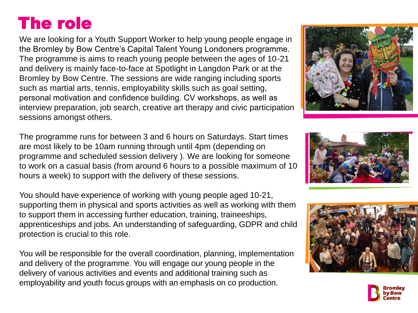# The role

We are looking for a Youth Support Worker to help young people engage in the Bromley by Bow Centre's Capital Talent Young Londoners programme. The programme is aims to reach young people between the ages of 10-21 and delivery is mainly face-to-face at Spotlight in Langdon Park or at the Bromley by Bow Centre. The sessions are wide ranging including sports such as martial arts, tennis, employability skills such as goal setting, personal motivation and confidence building. CV workshops, as well as interview preparation, job search, creative art therapy and civic participation sessions amongst others.

The programme runs for between 3 and 6 hours on Saturdays. Start times are most likely to be 10am running through until 4pm (depending on programme and scheduled session delivery ). We are looking for someone to work on a casual basis (from around 6 hours to a possible maximum of 10 hours a week) to support with the delivery of these sessions.

You should have experience of working with young people aged 10-21, supporting them in physical and sports activities as well as working with them to support them in accessing further education, training, traineeships, apprenticeships and jobs. An understanding of safeguarding, GDPR and child protection is crucial to this role.

You will be responsible for the overall coordination, planning, implementation and delivery of the programme. You will engage our young people in the delivery of various activities and events and additional training such as employability and youth focus groups with an emphasis on co production.







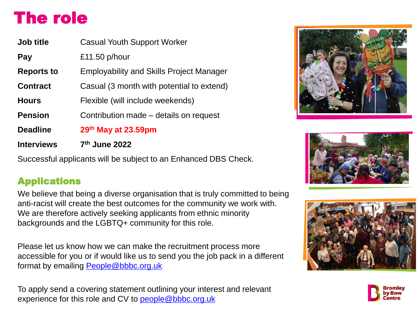# The role

| <b>Job title</b>  | <b>Casual Youth Support Worker</b>              |
|-------------------|-------------------------------------------------|
| Pay               | £11.50 $p/h$ our                                |
| <b>Reports to</b> | <b>Employability and Skills Project Manager</b> |
| <b>Contract</b>   | Casual (3 month with potential to extend)       |
| <b>Hours</b>      | Flexible (will include weekends)                |
| <b>Pension</b>    | Contribution made – details on request          |
| <b>Deadline</b>   | 29th May at 23.59pm                             |
| <b>Interviews</b> | 7 <sup>th</sup> June 2022                       |

Successful applicants will be subject to an Enhanced DBS Check.

### Applications

We believe that being a diverse organisation that is truly committed to being anti-racist will create the best outcomes for the community we work with. We are therefore actively seeking applicants from ethnic minority backgrounds and the LGBTQ+ community for this role.

Please let us know how we can make the recruitment process more accessible for you or if would like us to send you the job pack in a different format by emailing [People@bbbc.org.uk](mailto:People@bbbc.org.uk)

To apply send a covering statement outlining your interest and relevant experience for this role and CV to [people@bbbc.org.uk](mailto:people@bbbc.org.uk)







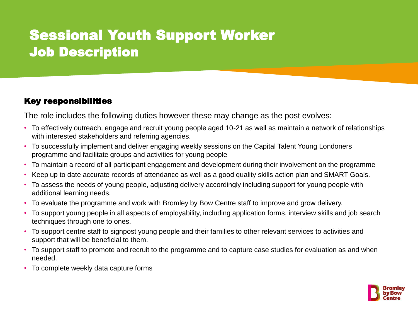## Sessional Youth Support Worker Job Description

### Key responsibilities

The role includes the following duties however these may change as the post evolves:

- To effectively outreach, engage and recruit young people aged 10-21 as well as maintain a network of relationships with interested stakeholders and referring agencies.
- To successfully implement and deliver engaging weekly sessions on the Capital Talent Young Londoners programme and facilitate groups and activities for young people
- To maintain a record of all participant engagement and development during their involvement on the programme
- Keep up to date accurate records of attendance as well as a good quality skills action plan and SMART Goals.
- To assess the needs of young people, adjusting delivery accordingly including support for young people with additional learning needs.
- To evaluate the programme and work with Bromley by Bow Centre staff to improve and grow delivery.
- To support young people in all aspects of employability, including application forms, interview skills and job search techniques through one to ones.
- To support centre staff to signpost young people and their families to other relevant services to activities and support that will be beneficial to them.
- To support staff to promote and recruit to the programme and to capture case studies for evaluation as and when needed.
- To complete weekly data capture forms